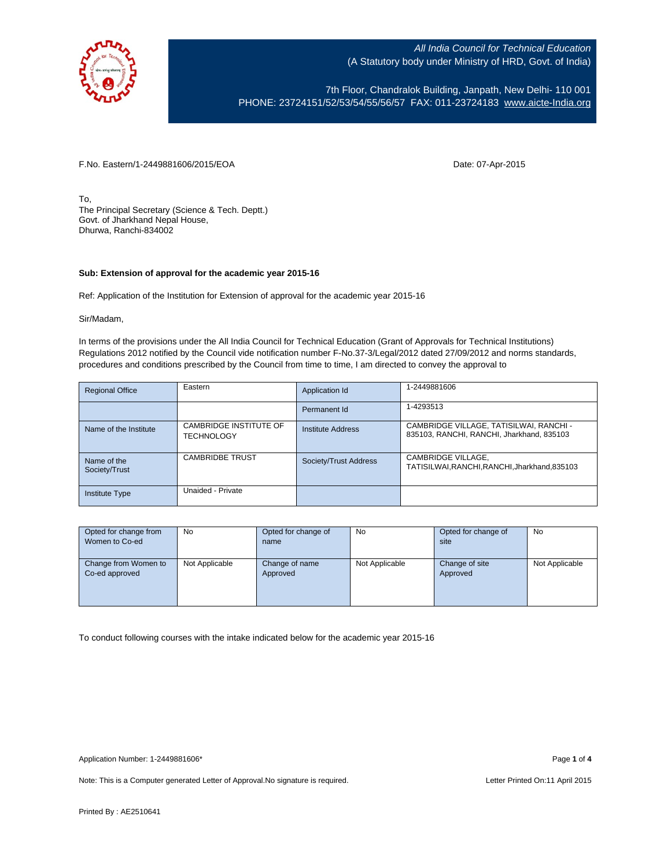

7th Floor, Chandralok Building, Janpath, New Delhi- 110 001 PHONE: 23724151/52/53/54/55/56/57 FAX: 011-23724183 [www.aicte-India.org](http://www.aicte-india.org/)

F.No. Eastern/1-2449881606/2015/EOA Date: 07-Apr-2015

To, The Principal Secretary (Science & Tech. Deptt.) Govt. of Jharkhand Nepal House, Dhurwa, Ranchi-834002

## **Sub: Extension of approval for the academic year 2015-16**

Ref: Application of the Institution for Extension of approval for the academic year 2015-16

Sir/Madam,

In terms of the provisions under the All India Council for Technical Education (Grant of Approvals for Technical Institutions) Regulations 2012 notified by the Council vide notification number F-No.37-3/Legal/2012 dated 27/09/2012 and norms standards, procedures and conditions prescribed by the Council from time to time, I am directed to convey the approval to

| <b>Regional Office</b>       | Eastern                                     | Application Id        | 1-2449881606                                                                         |
|------------------------------|---------------------------------------------|-----------------------|--------------------------------------------------------------------------------------|
|                              |                                             | Permanent Id          | 1-4293513                                                                            |
| Name of the Institute        | CAMBRIDGE INSTITUTE OF<br><b>TECHNOLOGY</b> | Institute Address     | CAMBRIDGE VILLAGE, TATISILWAI, RANCHI -<br>835103, RANCHI, RANCHI, Jharkhand, 835103 |
| Name of the<br>Society/Trust | <b>CAMBRIDBE TRUST</b>                      | Society/Trust Address | CAMBRIDGE VILLAGE,<br>TATISILWAI, RANCHI, RANCHI, Jharkhand, 835103                  |
| <b>Institute Type</b>        | Unaided - Private                           |                       |                                                                                      |

| Opted for change from | <b>No</b>      | Opted for change of | <b>No</b>      | Opted for change of | <b>No</b>      |
|-----------------------|----------------|---------------------|----------------|---------------------|----------------|
| Women to Co-ed        |                | name                |                | site                |                |
|                       |                |                     |                |                     |                |
| Change from Women to  | Not Applicable | Change of name      | Not Applicable | Change of site      | Not Applicable |
| Co-ed approved        |                | Approved            |                | Approved            |                |
|                       |                |                     |                |                     |                |
|                       |                |                     |                |                     |                |
|                       |                |                     |                |                     |                |

To conduct following courses with the intake indicated below for the academic year 2015-16

Note: This is a Computer generated Letter of Approval. No signature is required. Letter Printed On:11 April 2015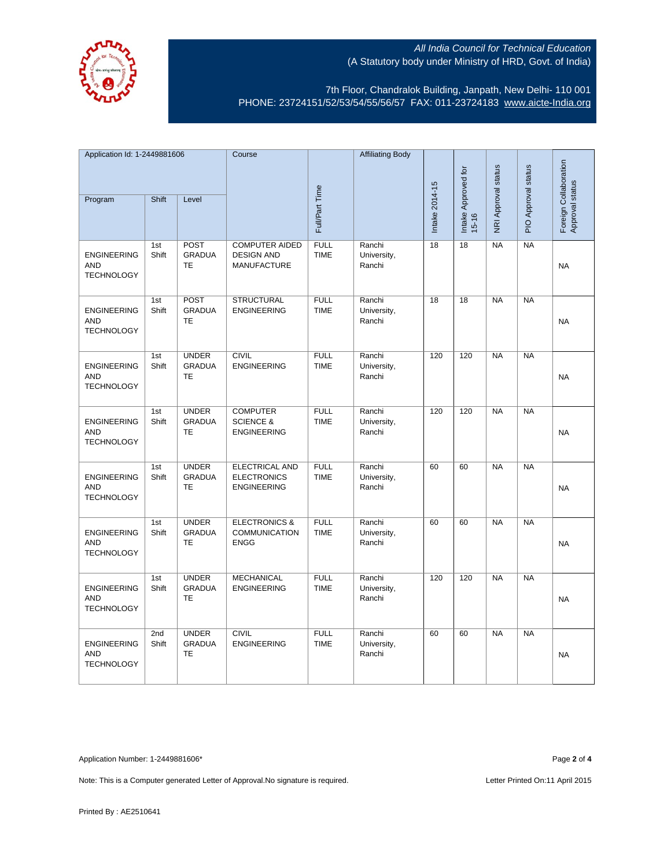

7th Floor, Chandralok Building, Janpath, New Delhi- 110 001 PHONE: 23724151/52/53/54/55/56/57 FAX: 011-23724183 [www.aicte-India.org](http://www.aicte-india.org/)

| Application Id: 1-2449881606                          |              | Course                                     |                                                                   | <b>Affiliating Body</b>    |                                 |                |                                  |                     |                     |                                          |
|-------------------------------------------------------|--------------|--------------------------------------------|-------------------------------------------------------------------|----------------------------|---------------------------------|----------------|----------------------------------|---------------------|---------------------|------------------------------------------|
| Program                                               | Shift        | Level                                      |                                                                   | Full/Part Time             |                                 | Intake 2014-15 | Intake Approved for<br>$15 - 16$ | NRI Approval status | PIO Approval status | Foreign Collaboration<br>Approval status |
|                                                       |              |                                            |                                                                   |                            |                                 |                |                                  |                     |                     |                                          |
| <b>ENGINEERING</b><br><b>AND</b><br><b>TECHNOLOGY</b> | 1st<br>Shift | POST<br><b>GRADUA</b><br><b>TE</b>         | <b>COMPUTER AIDED</b><br><b>DESIGN AND</b><br><b>MANUFACTURE</b>  | <b>FULL</b><br><b>TIME</b> | Ranchi<br>University,<br>Ranchi | 18             | $\overline{18}$                  | <b>NA</b>           | NA                  | <b>NA</b>                                |
| <b>ENGINEERING</b><br><b>AND</b><br><b>TECHNOLOGY</b> | 1st<br>Shift | POST<br><b>GRADUA</b><br><b>TE</b>         | <b>STRUCTURAL</b><br><b>ENGINEERING</b>                           | <b>FULL</b><br><b>TIME</b> | Ranchi<br>University,<br>Ranchi | 18             | 18                               | <b>NA</b>           | NA                  | <b>NA</b>                                |
| <b>ENGINEERING</b><br><b>AND</b><br><b>TECHNOLOGY</b> | 1st<br>Shift | <b>UNDER</b><br><b>GRADUA</b><br>TE        | <b>CIVIL</b><br><b>ENGINEERING</b>                                | <b>FULL</b><br><b>TIME</b> | Ranchi<br>University,<br>Ranchi | 120            | 120                              | <b>NA</b>           | <b>NA</b>           | <b>NA</b>                                |
| <b>ENGINEERING</b><br><b>AND</b><br><b>TECHNOLOGY</b> | 1st<br>Shift | <b>UNDER</b><br><b>GRADUA</b><br>TE        | <b>COMPUTER</b><br><b>SCIENCE &amp;</b><br><b>ENGINEERING</b>     | <b>FULL</b><br><b>TIME</b> | Ranchi<br>University,<br>Ranchi | 120            | 120                              | <b>NA</b>           | <b>NA</b>           | <b>NA</b>                                |
| <b>ENGINEERING</b><br><b>AND</b><br><b>TECHNOLOGY</b> | 1st<br>Shift | <b>UNDER</b><br><b>GRADUA</b><br>TE        | <b>ELECTRICAL AND</b><br><b>ELECTRONICS</b><br><b>ENGINEERING</b> | <b>FULL</b><br><b>TIME</b> | Ranchi<br>University,<br>Ranchi | 60             | 60                               | NA                  | NA                  | <b>NA</b>                                |
| <b>ENGINEERING</b><br><b>AND</b><br><b>TECHNOLOGY</b> | 1st<br>Shift | <b>UNDER</b><br><b>GRADUA</b><br><b>TE</b> | <b>ELECTRONICS &amp;</b><br><b>COMMUNICATION</b><br><b>ENGG</b>   | <b>FULL</b><br><b>TIME</b> | Ranchi<br>University,<br>Ranchi | 60             | 60                               | NA                  | NA                  | <b>NA</b>                                |
| <b>ENGINEERING</b><br><b>AND</b><br><b>TECHNOLOGY</b> | 1st<br>Shift | <b>UNDER</b><br><b>GRADUA</b><br><b>TE</b> | <b>MECHANICAL</b><br><b>ENGINEERING</b>                           | <b>FULL</b><br><b>TIME</b> | Ranchi<br>University,<br>Ranchi | 120            | 120                              | NA                  | <b>NA</b>           | NA                                       |
| <b>ENGINEERING</b><br><b>AND</b><br><b>TECHNOLOGY</b> | 2nd<br>Shift | <b>UNDER</b><br><b>GRADUA</b><br><b>TE</b> | <b>CIVIL</b><br><b>ENGINEERING</b>                                | <b>FULL</b><br><b>TIME</b> | Ranchi<br>University,<br>Ranchi | 60             | 60                               | NA                  | NA                  | <b>NA</b>                                |

Application Number: 1-2449881606\* Page **2** of **4**

Note: This is a Computer generated Letter of Approval. No signature is required. Letter Printed On:11 April 2015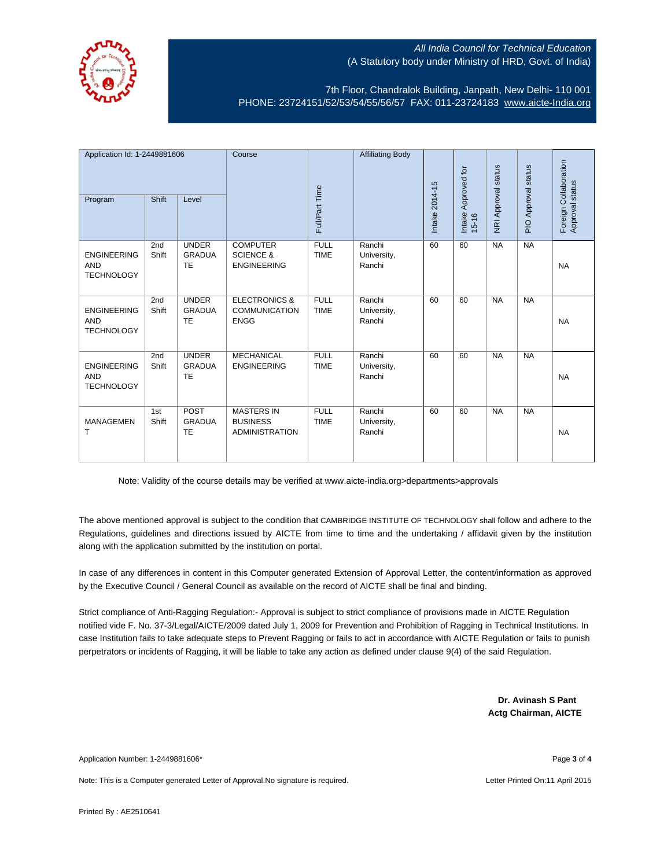

7th Floor, Chandralok Building, Janpath, New Delhi- 110 001 PHONE: 23724151/52/53/54/55/56/57 FAX: 011-23724183 [www.aicte-India.org](http://www.aicte-india.org/)

| Application Id: 1-2449881606<br>Shift<br>Program<br>Level |              | Course                                     | Full/Part Time                                                  | <b>Affiliating Body</b>    | Intake 2014-15                  | Approved for | NRI Approval status | PIO Approval status | Foreign Collaboration<br>Approval status |           |
|-----------------------------------------------------------|--------------|--------------------------------------------|-----------------------------------------------------------------|----------------------------|---------------------------------|--------------|---------------------|---------------------|------------------------------------------|-----------|
|                                                           |              |                                            |                                                                 |                            |                                 |              | Intake<br>$15 - 16$ |                     |                                          |           |
| <b>ENGINEERING</b><br><b>AND</b><br><b>TECHNOLOGY</b>     | 2nd<br>Shift | <b>UNDER</b><br><b>GRADUA</b><br><b>TE</b> | <b>COMPUTER</b><br><b>SCIENCE &amp;</b><br><b>ENGINEERING</b>   | <b>FULL</b><br><b>TIME</b> | Ranchi<br>University,<br>Ranchi | 60           | 60                  | <b>NA</b>           | <b>NA</b>                                | <b>NA</b> |
| <b>ENGINEERING</b><br><b>AND</b><br><b>TECHNOLOGY</b>     | 2nd<br>Shift | <b>UNDER</b><br><b>GRADUA</b><br><b>TE</b> | <b>ELECTRONICS &amp;</b><br><b>COMMUNICATION</b><br><b>ENGG</b> | <b>FULL</b><br><b>TIME</b> | Ranchi<br>University,<br>Ranchi | 60           | 60                  | <b>NA</b>           | <b>NA</b>                                | <b>NA</b> |
| <b>ENGINEERING</b><br><b>AND</b><br><b>TECHNOLOGY</b>     | 2nd<br>Shift | <b>UNDER</b><br><b>GRADUA</b><br><b>TE</b> | <b>MECHANICAL</b><br><b>ENGINEERING</b>                         | <b>FULL</b><br><b>TIME</b> | Ranchi<br>University,<br>Ranchi | 60           | 60                  | <b>NA</b>           | NA                                       | <b>NA</b> |
| <b>MANAGEMEN</b><br>т                                     | 1st<br>Shift | <b>POST</b><br><b>GRADUA</b><br><b>TE</b>  | <b>MASTERS IN</b><br><b>BUSINESS</b><br><b>ADMINISTRATION</b>   | <b>FULL</b><br><b>TIME</b> | Ranchi<br>University,<br>Ranchi | 60           | 60                  | <b>NA</b>           | <b>NA</b>                                | <b>NA</b> |

Note: Validity of the course details may be verified at www.aicte-india.org>departments>approvals

The above mentioned approval is subject to the condition that CAMBRIDGE INSTITUTE OF TECHNOLOGY shall follow and adhere to the Regulations, guidelines and directions issued by AICTE from time to time and the undertaking / affidavit given by the institution along with the application submitted by the institution on portal.

In case of any differences in content in this Computer generated Extension of Approval Letter, the content/information as approved by the Executive Council / General Council as available on the record of AICTE shall be final and binding.

Strict compliance of Anti-Ragging Regulation:- Approval is subject to strict compliance of provisions made in AICTE Regulation notified vide F. No. 37-3/Legal/AICTE/2009 dated July 1, 2009 for Prevention and Prohibition of Ragging in Technical Institutions. In case Institution fails to take adequate steps to Prevent Ragging or fails to act in accordance with AICTE Regulation or fails to punish perpetrators or incidents of Ragging, it will be liable to take any action as defined under clause 9(4) of the said Regulation.

> **Dr. Avinash S Pant Actg Chairman, AICTE**

Application Number: 1-2449881606\* Page **3** of **4**

Note: This is a Computer generated Letter of Approval.No signature is required. Letter According the state of the Letter Printed On:11 April 2015